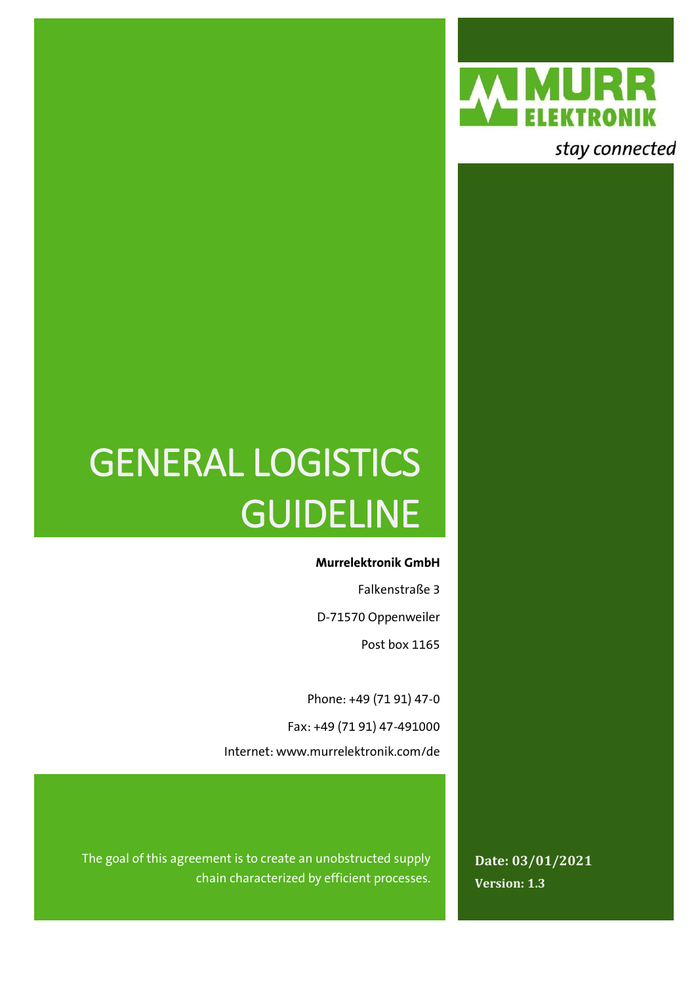

stay connected

# GENERAL LOGISTICS GUIDELINE

#### **Murrelektronik GmbH**

Falkenstraße 3 D-71570 Oppenweiler Post box 1165

Phone: +49 (71 91) 47-0

Fax: +49 (71 91) 47-491000

Internet: www.murrelektronik.com/de

The goal of this agreement is to create an unobstructed supply chain characterized by efficient processes.

**Date: 03/01/2021 Version: 1.3**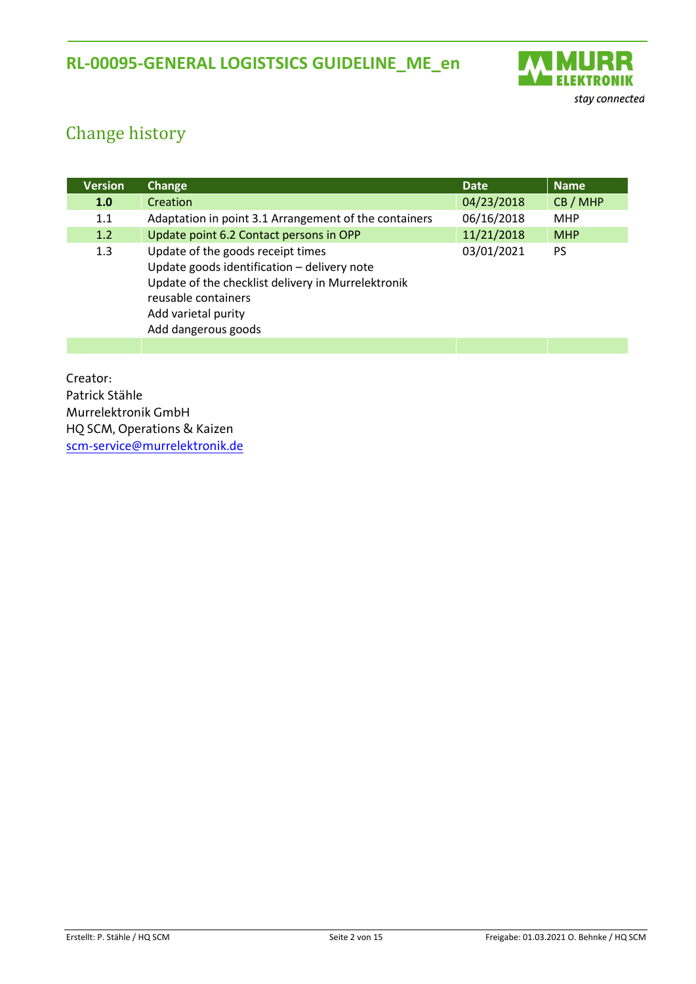

# <span id="page-1-0"></span>Change history

| <b>Version</b> | Change                                                                                                                                                                                                      | <b>Date</b> | <b>Name</b> |
|----------------|-------------------------------------------------------------------------------------------------------------------------------------------------------------------------------------------------------------|-------------|-------------|
| 1.0            | <b>Creation</b>                                                                                                                                                                                             | 04/23/2018  | CB / MHP    |
| 1.1            | Adaptation in point 3.1 Arrangement of the containers                                                                                                                                                       | 06/16/2018  | <b>MHP</b>  |
| 1.2            | Update point 6.2 Contact persons in OPP                                                                                                                                                                     | 11/21/2018  | <b>MHP</b>  |
| 1.3            | Update of the goods receipt times<br>Update goods identification - delivery note<br>Update of the checklist delivery in Murrelektronik<br>reusable containers<br>Add varietal purity<br>Add dangerous goods | 03/01/2021  | <b>PS</b>   |
|                |                                                                                                                                                                                                             |             |             |

Creator: Patrick Stähle Murrelektronik GmbH HQ SCM, Operations & Kaizen [scm-service@murrelektronik.de](mailto:scm-service@murrelektronik.de)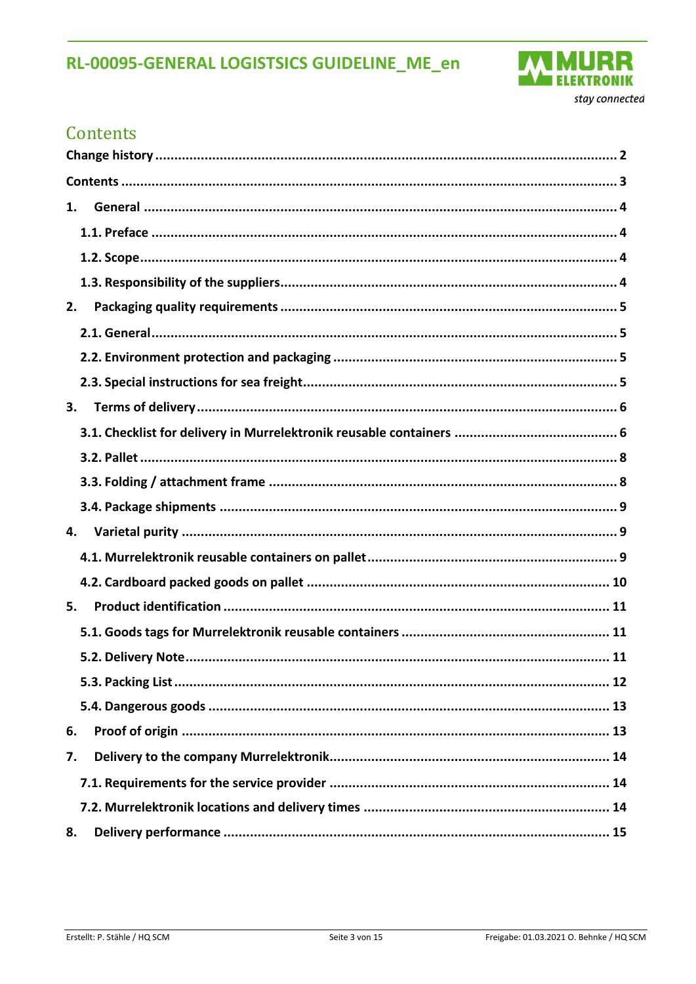

# <span id="page-2-0"></span>Contents

| 1. |  |
|----|--|
|    |  |
|    |  |
|    |  |
| 2. |  |
|    |  |
|    |  |
|    |  |
| 3. |  |
|    |  |
|    |  |
|    |  |
|    |  |
| 4. |  |
|    |  |
|    |  |
| 5. |  |
|    |  |
|    |  |
|    |  |
|    |  |
| 6. |  |
| 7. |  |
|    |  |
|    |  |
| 8. |  |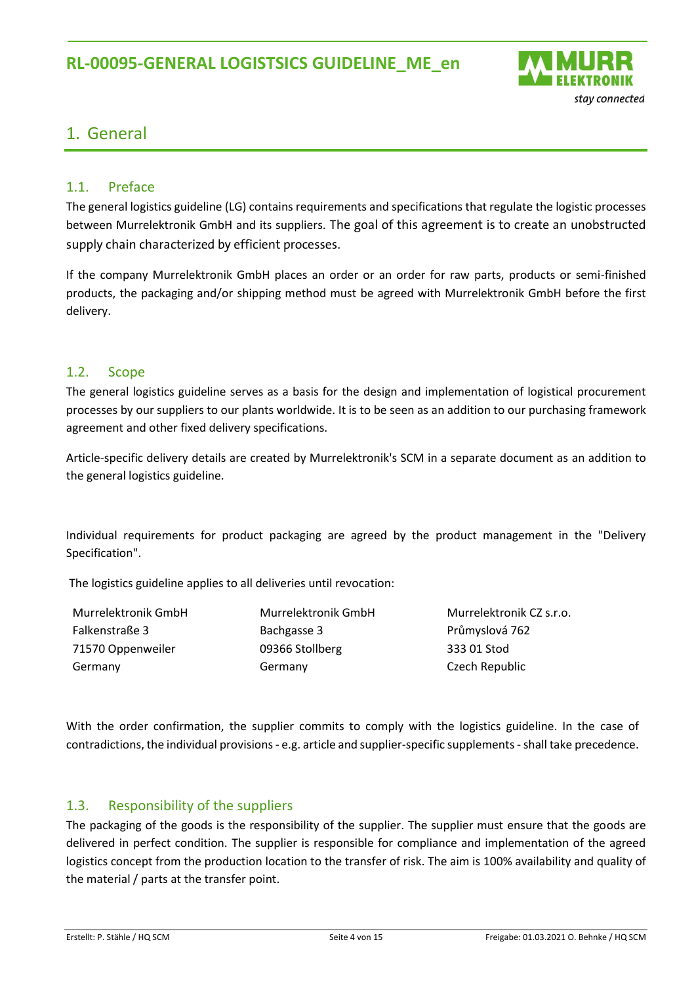

## <span id="page-3-0"></span>1. General

### <span id="page-3-1"></span>1.1. Preface

The general logistics guideline (LG) contains requirements and specifications that regulate the logistic processes between Murrelektronik GmbH and its suppliers. The goal of this agreement is to create an unobstructed supply chain characterized by efficient processes.

If the company Murrelektronik GmbH places an order or an order for raw parts, products or semi-finished products, the packaging and/or shipping method must be agreed with Murrelektronik GmbH before the first delivery.

### <span id="page-3-2"></span>1.2. Scope

The general logistics guideline serves as a basis for the design and implementation of logistical procurement processes by our suppliers to our plants worldwide. It is to be seen as an addition to our purchasing framework agreement and other fixed delivery specifications.

Article-specific delivery details are created by Murrelektronik's SCM in a separate document as an addition to the general logistics guideline.

Individual requirements for product packaging are agreed by the product management in the "Delivery Specification".

The logistics guideline applies to all deliveries until revocation:

| Murrelektronik GmbH |  |
|---------------------|--|
| Falkenstraße 3      |  |
| 71570 Oppenweiler   |  |
| Germany             |  |

Murrelektronik GmbH Bachgasse 3 09366 Stollberg Germany

Murrelektronik CZ s.r.o. Průmyslová 762 333 01 Stod Czech Republic

With the order confirmation, the supplier commits to comply with the logistics guideline. In the case of contradictions, the individual provisions - e.g. article and supplier-specific supplements -shall take precedence.

## <span id="page-3-3"></span>1.3. Responsibility of the suppliers

The packaging of the goods is the responsibility of the supplier. The supplier must ensure that the goods are delivered in perfect condition. The supplier is responsible for compliance and implementation of the agreed logistics concept from the production location to the transfer of risk. The aim is 100% availability and quality of the material / parts at the transfer point.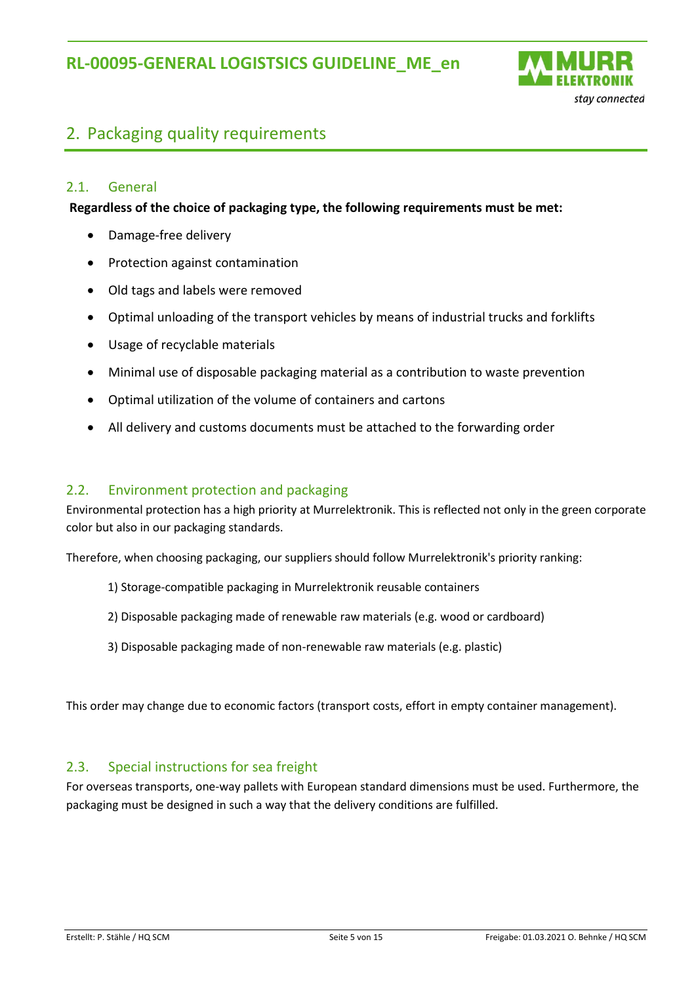

# <span id="page-4-0"></span>2. Packaging quality requirements

## <span id="page-4-1"></span>2.1. General

**Regardless of the choice of packaging type, the following requirements must be met:**

- Damage-free delivery
- Protection against contamination
- Old tags and labels were removed
- Optimal unloading of the transport vehicles by means of industrial trucks and forklifts
- Usage of recyclable materials
- Minimal use of disposable packaging material as a contribution to waste prevention
- Optimal utilization of the volume of containers and cartons
- All delivery and customs documents must be attached to the forwarding order

#### <span id="page-4-2"></span>2.2. Environment protection and packaging

Environmental protection has a high priority at Murrelektronik. This is reflected not only in the green corporate color but also in our packaging standards.

Therefore, when choosing packaging, our suppliers should follow Murrelektronik's priority ranking:

- 1) Storage-compatible packaging in Murrelektronik reusable containers
- 2) Disposable packaging made of renewable raw materials (e.g. wood or cardboard)
- 3) Disposable packaging made of non-renewable raw materials (e.g. plastic)

This order may change due to economic factors (transport costs, effort in empty container management).

### <span id="page-4-3"></span>2.3. Special instructions for sea freight

For overseas transports, one-way pallets with European standard dimensions must be used. Furthermore, the packaging must be designed in such a way that the delivery conditions are fulfilled.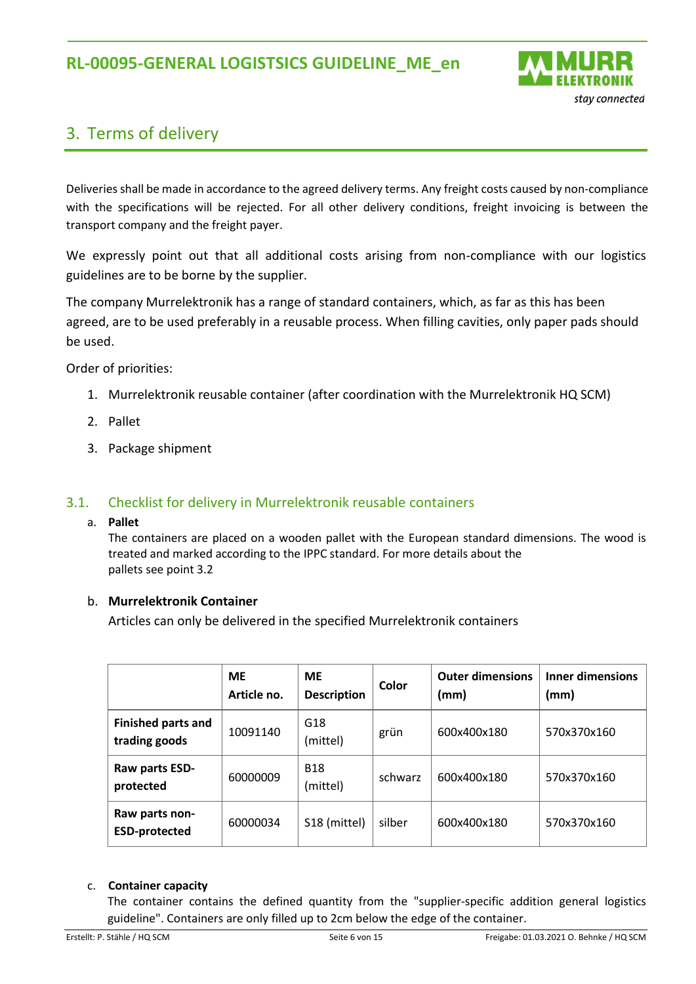

# <span id="page-5-0"></span>3. Terms of delivery

Deliveries shall be made in accordance to the agreed delivery terms. Any freight costs caused by non-compliance with the specifications will be rejected. For all other delivery conditions, freight invoicing is between the transport company and the freight payer.

We expressly point out that all additional costs arising from non-compliance with our logistics guidelines are to be borne by the supplier.

The company Murrelektronik has a range of standard containers, which, as far as this has been agreed, are to be used preferably in a reusable process. When filling cavities, only paper pads should be used.

Order of priorities:

- 1. Murrelektronik reusable container (after coordination with the Murrelektronik HQ SCM)
- 2. Pallet
- 3. Package shipment

## <span id="page-5-1"></span>3.1. Checklist for delivery in Murrelektronik reusable containers

#### a. **Pallet**

The containers are placed on a wooden pallet with the European standard dimensions. The wood is treated and marked according to the IPPC standard. For more details about the pallets see point 3.2

### b. **Murrelektronik Container**

Articles can only be delivered in the specified Murrelektronik containers

|                                            | <b>ME</b><br>Article no. | <b>ME</b><br><b>Description</b> | Color   | <b>Outer dimensions</b><br>(mm) | <b>Inner dimensions</b><br>(mm) |
|--------------------------------------------|--------------------------|---------------------------------|---------|---------------------------------|---------------------------------|
| <b>Finished parts and</b><br>trading goods | 10091140                 | G18<br>(mittel)                 | grün    | 600x400x180                     | 570x370x160                     |
| Raw parts ESD-<br>protected                | 60000009                 | <b>B18</b><br>(mittel)          | schwarz | 600x400x180                     | 570x370x160                     |
| Raw parts non-<br><b>ESD-protected</b>     | 60000034                 | S18 (mittel)                    | silber  | 600x400x180                     | 570x370x160                     |

#### c. **Container capacity**

The container contains the defined quantity from the "supplier-specific addition general logistics guideline". Containers are only filled up to 2cm below the edge of the container.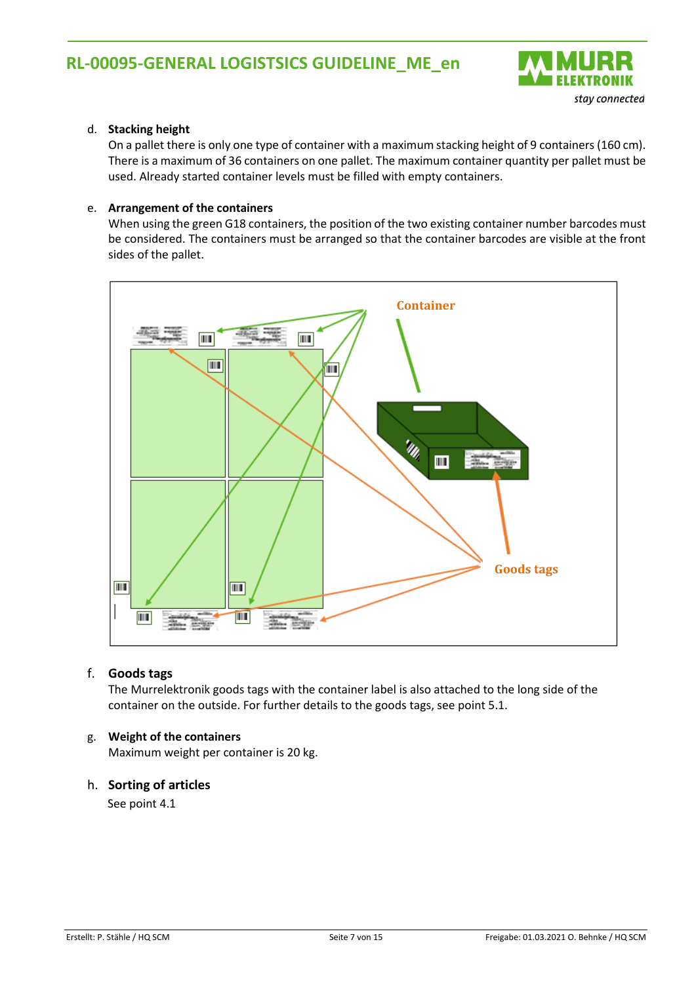

#### d. **Stacking height**

On a pallet there is only one type of container with a maximum stacking height of 9 containers (160 cm). There is a maximum of 36 containers on one pallet. The maximum container quantity per pallet must be used. Already started container levels must be filled with empty containers.

#### e. **Arrangement of the containers**

When using the green G18 containers, the position of the two existing container number barcodes must be considered. The containers must be arranged so that the container barcodes are visible at the front sides of the pallet.



#### f. **Goods tags**

The Murrelektronik goods tags with the container label is also attached to the long side of the container on the outside. For further details to the goods tags, see point 5.1.

#### g. **Weight of the containers**

Maximum weight per container is 20 kg.

#### h. **Sorting of articles**

See point 4.1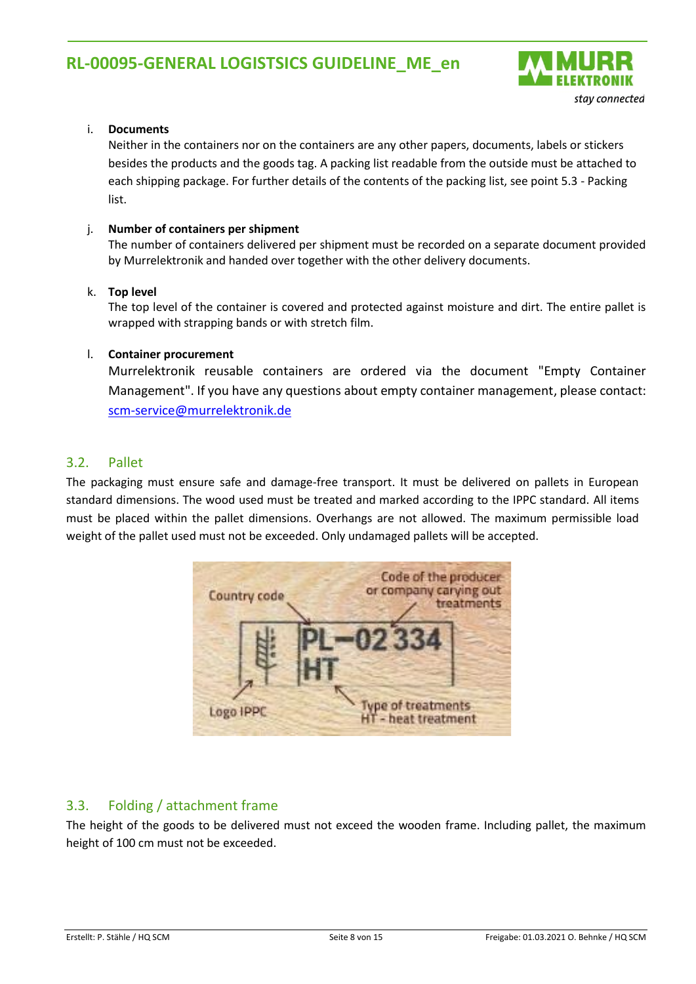

#### i. **Documents**

Neither in the containers nor on the containers are any other papers, documents, labels or stickers besides the products and the goods tag. A packing list readable from the outside must be attached to each shipping package. For further details of the contents of the packing list, see point 5.3 - Packing list.

#### j. **Number of containers per shipment**

The number of containers delivered per shipment must be recorded on a separate document provided by Murrelektronik and handed over together with the other delivery documents.

#### k. **Top level**

The top level of the container is covered and protected against moisture and dirt. The entire pallet is wrapped with strapping bands or with stretch film.

#### l. **Container procurement**

Murrelektronik reusable containers are ordered via the document "Empty Container Management". If you have any questions about empty container management, please contact: [scm-service@murrelektronik.de](mailto:scm-service@murrelektronik.de)

### <span id="page-7-0"></span>3.2. Pallet

The packaging must ensure safe and damage-free transport. It must be delivered on pallets in European standard dimensions. The wood used must be treated and marked according to the IPPC standard. All items must be placed within the pallet dimensions. Overhangs are not allowed. The maximum permissible load weight of the pallet used must not be exceeded. Only undamaged pallets will be accepted.



## <span id="page-7-1"></span>3.3. Folding / attachment frame

The height of the goods to be delivered must not exceed the wooden frame. Including pallet, the maximum height of 100 cm must not be exceeded.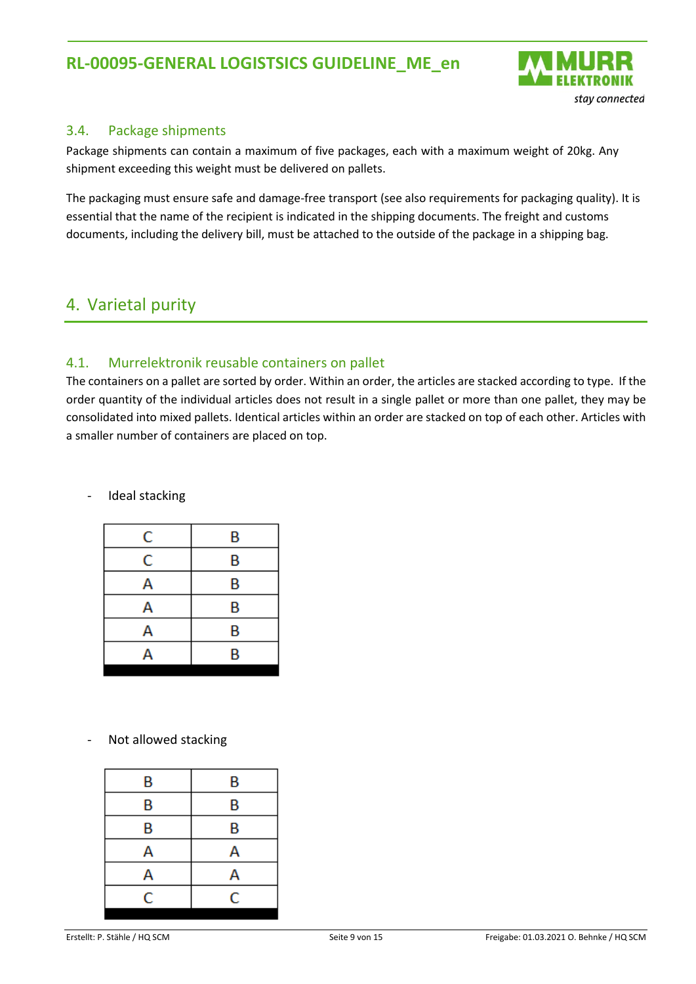

## <span id="page-8-0"></span>3.4. Package shipments

Package shipments can contain a maximum of five packages, each with a maximum weight of 20kg. Any shipment exceeding this weight must be delivered on pallets.

The packaging must ensure safe and damage-free transport (see also requirements for packaging quality). It is essential that the name of the recipient is indicated in the shipping documents. The freight and customs documents, including the delivery bill, must be attached to the outside of the package in a shipping bag.

# <span id="page-8-1"></span>4. Varietal purity

## <span id="page-8-2"></span>4.1. Murrelektronik reusable containers on pallet

The containers on a pallet are sorted by order. Within an order, the articles are stacked according to type. If the order quantity of the individual articles does not result in a single pallet or more than one pallet, they may be consolidated into mixed pallets. Identical articles within an order are stacked on top of each other. Articles with a smaller number of containers are placed on top.

#### Ideal stacking

| С | В |
|---|---|
| С | В |
| Α | B |
| Α | B |
| Α | В |
| А | В |

#### Not allowed stacking

| В |
|---|
| B |
| B |
| Α |
| Α |
| C |
|   |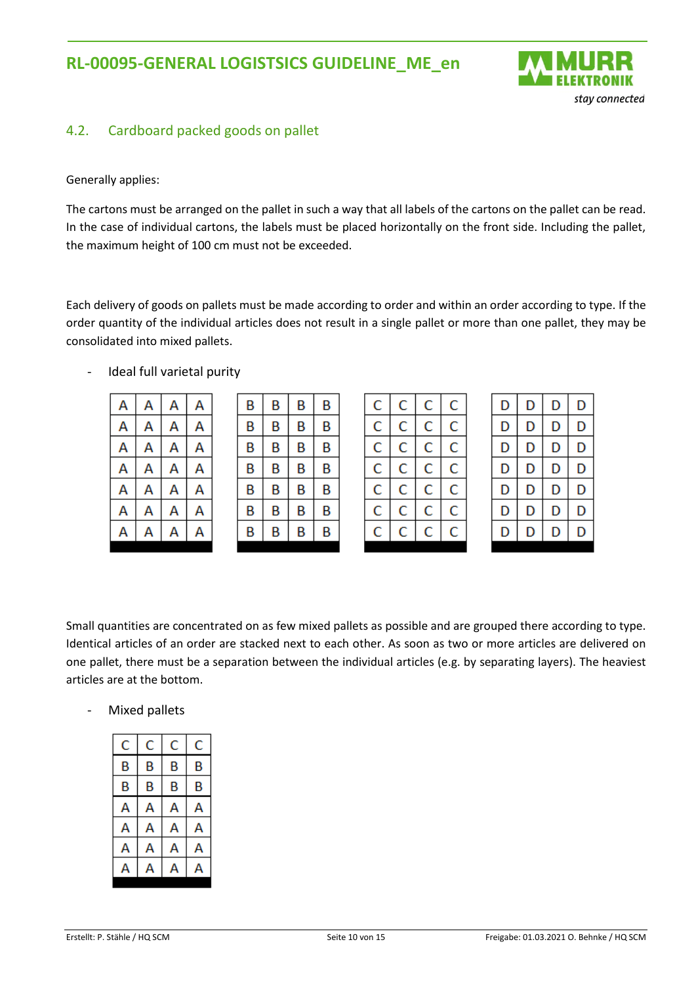

## <span id="page-9-0"></span>4.2. Cardboard packed goods on pallet

#### Generally applies:

The cartons must be arranged on the pallet in such a way that all labels of the cartons on the pallet can be read. In the case of individual cartons, the labels must be placed horizontally on the front side. Including the pallet, the maximum height of 100 cm must not be exceeded.

Each delivery of goods on pallets must be made according to order and within an order according to type. If the order quantity of the individual articles does not result in a single pallet or more than one pallet, they may be consolidated into mixed pallets.

| А | А | А | А |
|---|---|---|---|
| Α | Α | А | А |
| Α | Α | А | А |
| А | А | А | А |
| А | А | Α | Α |
| А | Α | Α | Α |
| А | А | Δ | А |

- Ideal full varietal purity

| В | В | В | В |
|---|---|---|---|
| В | В | В | В |
| В | в | В | в |
| В | В | В | В |
| В | В | В | в |
| В | В | в | в |
| В | В | В | в |

| C | C | C | C              |
|---|---|---|----------------|
| Ċ | Ċ | C | Ċ              |
| C | C | C | $\overline{c}$ |
| C | C | C | C              |
| Ċ | Ċ | Ċ | Ċ              |
| Ċ | Ċ | C | Ċ              |
| Ċ | Ċ | Ċ | C              |

| D | D | D | D |
|---|---|---|---|
| D | D | D | D |
| D | D | D | D |
| D | D | D | D |
| D | D | D | D |
| D | D | D | D |
|   |   |   |   |

Small quantities are concentrated on as few mixed pallets as possible and are grouped there according to type. Identical articles of an order are stacked next to each other. As soon as two or more articles are delivered on one pallet, there must be a separation between the individual articles (e.g. by separating layers). The heaviest articles are at the bottom.

### - Mixed pallets

| C | C | Ċ | C |
|---|---|---|---|
| B | В | B | B |
| B | B | B | B |
| А | Α | Α | А |
| А | Α | Α | А |
| Α | Α | А | А |
| А | Α |   |   |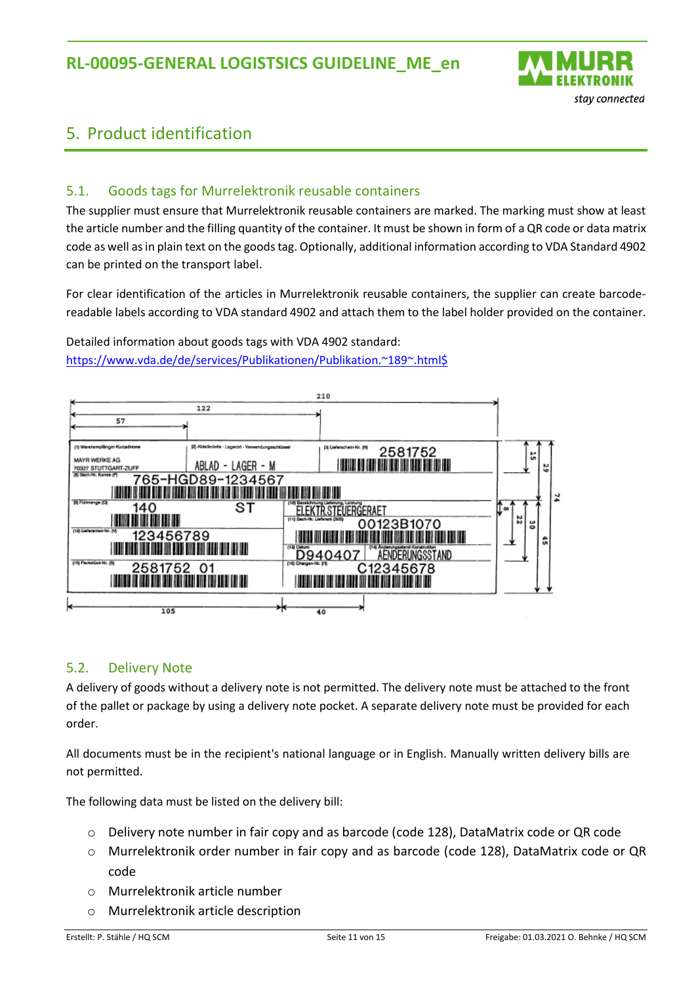

# <span id="page-10-0"></span>5. Product identification

## <span id="page-10-1"></span>5.1. Goods tags for Murrelektronik reusable containers

The supplier must ensure that Murrelektronik reusable containers are marked. The marking must show at least the article number and the filling quantity of the container. It must be shown in form of a QR code or data matrix code as well as in plain text on the goods tag. Optionally, additional information according to VDA Standard 4902 can be printed on the transport label.

For clear identification of the articles in Murrelektronik reusable containers, the supplier can create barcodereadable labels according to VDA standard 4902 and attach them to the label holder provided on the container.

Detailed information about goods tags with VDA 4902 standard: [https://www.vda.de/de/services/Publikationen/Publikation.~189~.html\\$](https://www.vda.de/de/services/Publikationen/Publikation.~189~.html$)



## <span id="page-10-2"></span>5.2. Delivery Note

A delivery of goods without a delivery note is not permitted. The delivery note must be attached to the front of the pallet or package by using a delivery note pocket. A separate delivery note must be provided for each order.

All documents must be in the recipient's national language or in English. Manually written delivery bills are not permitted.

The following data must be listed on the delivery bill:

- o Delivery note number in fair copy and as barcode (code 128), DataMatrix code or QR code
- o Murrelektronik order number in fair copy and as barcode (code 128), DataMatrix code or QR code
- o Murrelektronik article number
- o Murrelektronik article description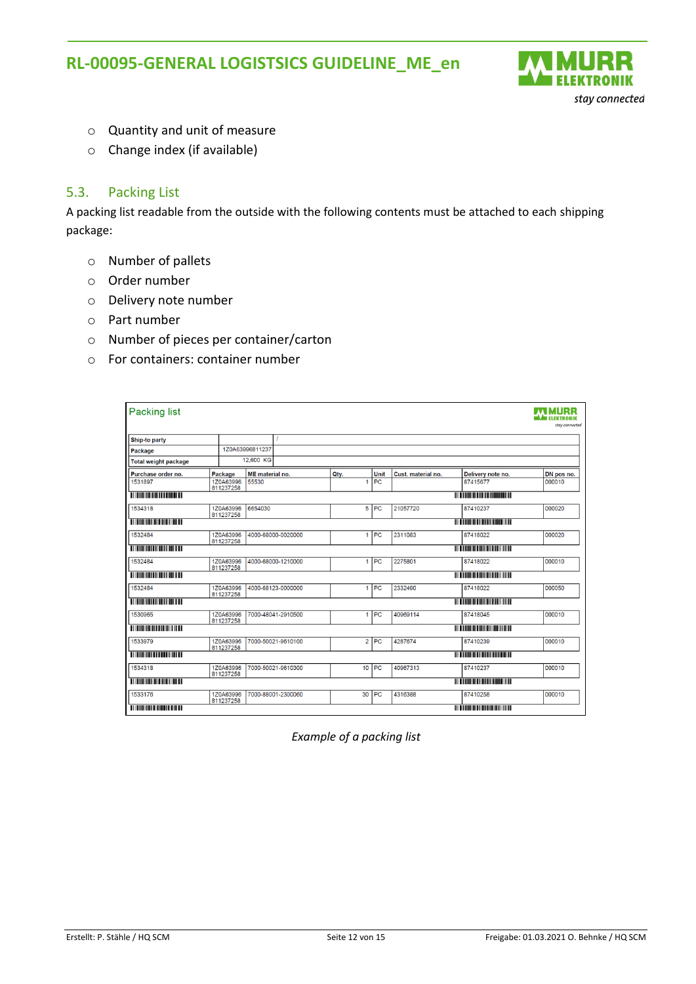

- o Quantity and unit of measure
- o Change index (if available)

## <span id="page-11-0"></span>5.3. Packing List

A packing list readable from the outside with the following contents must be attached to each shipping package:

- o Number of pallets
- o Order number
- o Delivery note number
- o Part number
- o Number of pieces per container/carton
- o For containers: container number

| <b>Packing list</b>                                                                                                    |                        |                        |                    |                 |                    |                    |                                                                                                                       | IMURR<br>stay connected |
|------------------------------------------------------------------------------------------------------------------------|------------------------|------------------------|--------------------|-----------------|--------------------|--------------------|-----------------------------------------------------------------------------------------------------------------------|-------------------------|
| <b>Ship-to party</b>                                                                                                   |                        |                        |                    |                 |                    |                    |                                                                                                                       |                         |
| Package                                                                                                                |                        | 1Z0A63996811237        |                    |                 |                    |                    |                                                                                                                       |                         |
| <b>Total weight package</b>                                                                                            |                        | 12,600 KG              |                    |                 |                    |                    |                                                                                                                       |                         |
| Purchase order no.                                                                                                     | Package                | <b>ME</b> material no. |                    | Qty.            | Unit               | Cust. material no. | Delivery note no.                                                                                                     | DN pos no.              |
| 1531897                                                                                                                | 1Z0A63996<br>811237258 | 55530                  |                    | 1               | PC                 |                    | 87415677                                                                                                              | 000010                  |
|                                                                                                                        |                        |                        |                    |                 |                    |                    |                                                                                                                       |                         |
| 1534318                                                                                                                | 1Z0A63996<br>811237258 | 6654030                |                    |                 | 5 IPC              | 21057720           | 87410237                                                                                                              | 000020                  |
|                                                                                                                        |                        |                        |                    |                 |                    |                    |                                                                                                                       |                         |
| 1532484                                                                                                                | 1Z0A63996<br>811237258 |                        | 4000-68000-0020000 |                 | PC<br>$\mathbf{1}$ | 2311083            | 87418022                                                                                                              | 000020                  |
| <u> Ali i analisi a che se stati a che sta</u>                                                                         |                        |                        |                    |                 |                    |                    |                                                                                                                       |                         |
| 1532484                                                                                                                | 1Z0A63996<br>811237258 |                        | 4000-68000-1210000 |                 | $1$ PC             | 2275801            | 87418022                                                                                                              | 000010                  |
| <u> 111   111   111   111   111   111   111   11</u>                                                                   |                        |                        |                    |                 |                    |                    |                                                                                                                       |                         |
| 1532484                                                                                                                | 1Z0A63996<br>811237258 |                        | 4000-68123-0000000 |                 | PC<br>1            | 2332490            | 87418022                                                                                                              | 000050                  |
|                                                                                                                        |                        |                        |                    |                 |                    |                    | <u> A TANAH AMBANG MATERIAL NA MA</u>                                                                                 |                         |
| 1530965                                                                                                                | 1Z0A63996<br>811237258 |                        | 7000-48041-2910500 |                 | PC<br>1.           | 40969114           | 87418045                                                                                                              | 000010                  |
| <u> Ali bili ili biblio di ali biblio di ali</u>                                                                       |                        |                        |                    |                 |                    |                    | <u> HEILIN HEILIN HEILIN HEILIN</u>                                                                                   |                         |
| 1533979                                                                                                                | 1Z0A63996<br>811237258 |                        | 7000-50021-9610100 |                 | 2 PC               | 4287674            | 87410239                                                                                                              | 000010                  |
| <u> Ali bilin bilin bilin bilin bilin bilin bilin bilin bilin bilin bilin bilin bilin bilin bilin bilin bilin bili</u> |                        |                        |                    |                 |                    |                    | <u> HERE AL DE LA BILITA DE LA BILITA DE LA BILITA DE LA BILITA DE LA BILITA DE LA BILITA DE LA BILITA DE LA BILI</u> |                         |
| 1534318                                                                                                                | 1Z0A63996<br>811237258 |                        | 7000-50021-9610300 | 10 <sup>1</sup> | PC                 | 40967313           | 87410237                                                                                                              | 000010                  |
|                                                                                                                        |                        |                        |                    |                 |                    |                    | <u> Altan Andrewski Andrewski (</u>                                                                                   |                         |
| 1533176                                                                                                                | 1Z0A63996<br>811237258 |                        | 7000-88001-2300060 | 30              | PC                 | 4316388            | 87410258                                                                                                              | 000010                  |
| <u> HII DI MARINI DI MARINI DI MARINI DI MARINI DI MARINI DI MARINI DI MARINI DI MARINI DI MARINI DI MARINI DI M</u>   |                        |                        |                    |                 |                    |                    |                                                                                                                       |                         |

*Example of a packing list*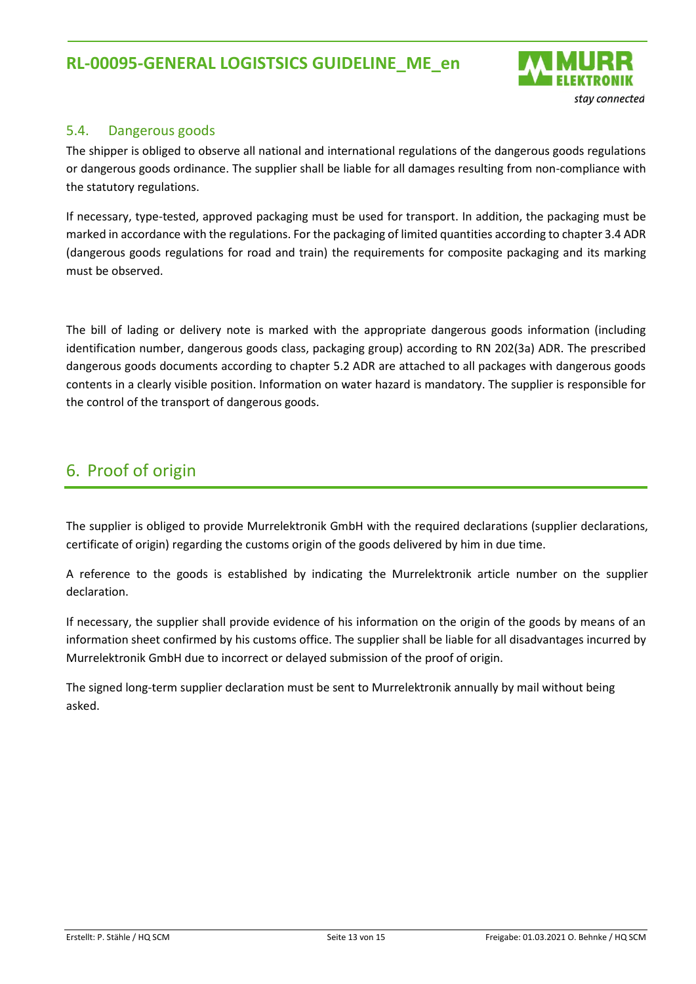

## <span id="page-12-0"></span>5.4. Dangerous goods

The shipper is obliged to observe all national and international regulations of the dangerous goods regulations or dangerous goods ordinance. The supplier shall be liable for all damages resulting from non-compliance with the statutory regulations.

If necessary, type-tested, approved packaging must be used for transport. In addition, the packaging must be marked in accordance with the regulations. For the packaging of limited quantities according to chapter 3.4 ADR (dangerous goods regulations for road and train) the requirements for composite packaging and its marking must be observed.

The bill of lading or delivery note is marked with the appropriate dangerous goods information (including identification number, dangerous goods class, packaging group) according to RN 202(3a) ADR. The prescribed dangerous goods documents according to chapter 5.2 ADR are attached to all packages with dangerous goods contents in a clearly visible position. Information on water hazard is mandatory. The supplier is responsible for the control of the transport of dangerous goods.

# <span id="page-12-1"></span>6. Proof of origin

The supplier is obliged to provide Murrelektronik GmbH with the required declarations (supplier declarations, certificate of origin) regarding the customs origin of the goods delivered by him in due time.

A reference to the goods is established by indicating the Murrelektronik article number on the supplier declaration.

If necessary, the supplier shall provide evidence of his information on the origin of the goods by means of an information sheet confirmed by his customs office. The supplier shall be liable for all disadvantages incurred by Murrelektronik GmbH due to incorrect or delayed submission of the proof of origin.

The signed long-term supplier declaration must be sent to Murrelektronik annually by mail without being asked.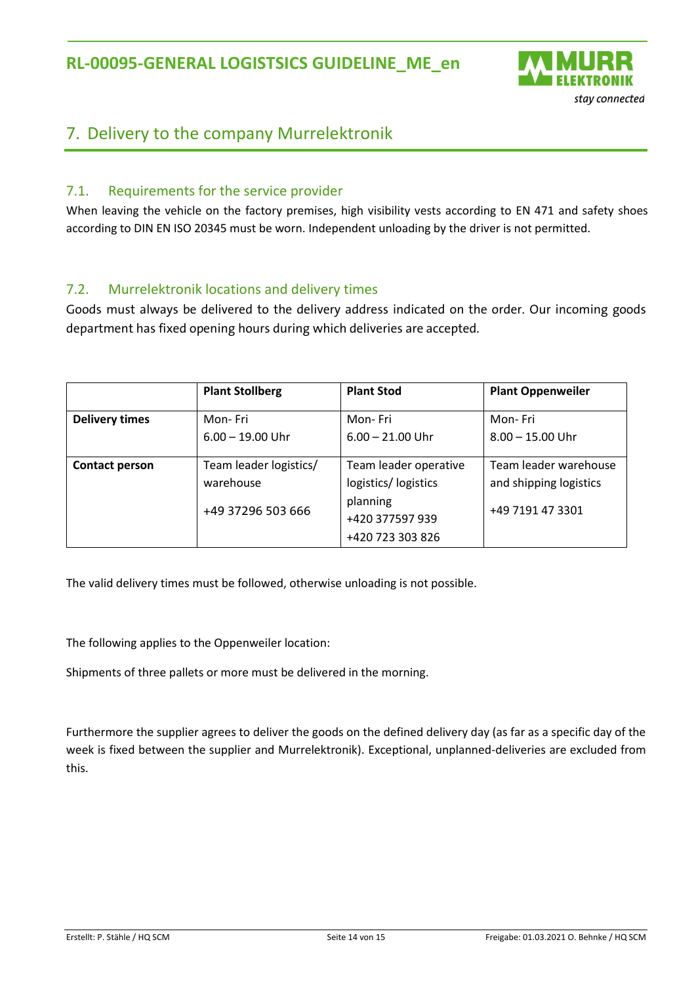

# <span id="page-13-0"></span>7. Delivery to the company Murrelektronik

## <span id="page-13-1"></span>7.1. Requirements for the service provider

When leaving the vehicle on the factory premises, high visibility vests according to EN 471 and safety shoes according to DIN EN ISO 20345 must be worn. Independent unloading by the driver is not permitted.

## <span id="page-13-2"></span>7.2. Murrelektronik locations and delivery times

Goods must always be delivered to the delivery address indicated on the order. Our incoming goods department has fixed opening hours during which deliveries are accepted.

|                       | <b>Plant Stollberg</b> | <b>Plant Stod</b>                               | <b>Plant Oppenweiler</b> |
|-----------------------|------------------------|-------------------------------------------------|--------------------------|
| <b>Delivery times</b> | Mon-Fri                | Mon- Fri                                        | Mon- Fri                 |
|                       | $6.00 - 19.00$ Uhr     | $6.00 - 21.00$ Uhr                              | $8.00 - 15.00$ Uhr       |
| Contact person        | Team leader logistics/ | Team leader operative                           | Team leader warehouse    |
|                       | warehouse              | logistics/logistics                             | and shipping logistics   |
|                       | +49 37296 503 666      | planning<br>+420 377597 939<br>+420 723 303 826 | +49 7191 47 3301         |

The valid delivery times must be followed, otherwise unloading is not possible.

The following applies to the Oppenweiler location:

Shipments of three pallets or more must be delivered in the morning.

Furthermore the supplier agrees to deliver the goods on the defined delivery day (as far as a specific day of the week is fixed between the supplier and Murrelektronik). Exceptional, unplanned-deliveries are excluded from this.